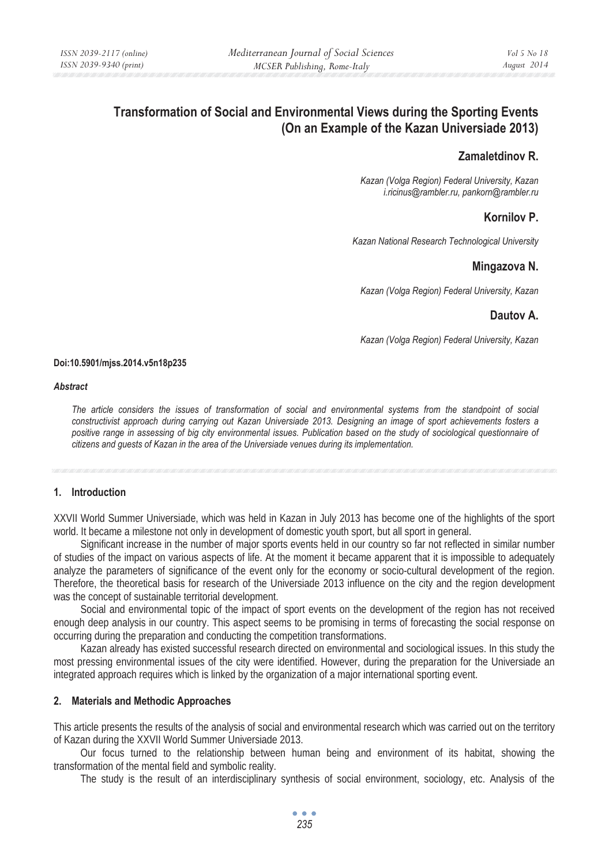# **Transformation of Social and Environmental Views during the Sporting Events (On an Example of the Kazan Universiade 2013)**

## **Zamaletdinov R.**

*Kazan (Volga Region) Federal University, Kazan i.ricinus@rambler.ru, pankorn@rambler.ru* 

## **Kornilov P.**

*Kazan National Research Technological University* 

## **Mingazova N.**

*Kazan (Volga Region) Federal University, Kazan* 

### **Dautov A.**

*Kazan (Volga Region) Federal University, Kazan* 

#### **Doi:10.5901/mjss.2014.v5n18p235**

#### *Abstract*

*The article considers the issues of transformation of social and environmental systems from the standpoint of social constructivist approach during carrying out Kazan Universiade 2013. Designing an image of sport achievements fosters a positive range in assessing of big city environmental issues. Publication based on the study of sociological questionnaire of citizens and guests of Kazan in the area of the Universiade venues during its implementation.* 

### **1. Introduction**

XXVII World Summer Universiade, which was held in Kazan in July 2013 has become one of the highlights of the sport world. It became a milestone not only in development of domestic youth sport, but all sport in general.

Significant increase in the number of major sports events held in our country so far not reflected in similar number of studies of the impact on various aspects of life. At the moment it became apparent that it is impossible to adequately analyze the parameters of significance of the event only for the economy or socio-cultural development of the region. Therefore, the theoretical basis for research of the Universiade 2013 influence on the city and the region development was the concept of sustainable territorial development.

Social and environmental topic of the impact of sport events on the development of the region has not received enough deep analysis in our country. This aspect seems to be promising in terms of forecasting the social response on occurring during the preparation and conducting the competition transformations.

Kazan already has existed successful research directed on environmental and sociological issues. In this study the most pressing environmental issues of the city were identified. However, during the preparation for the Universiade an integrated approach requires which is linked by the organization of a major international sporting event.

## **2. Materials and Methodic Approaches**

This article presents the results of the analysis of social and environmental research which was carried out on the territory of Kazan during the XXVII World Summer Universiade 2013.

Our focus turned to the relationship between human being and environment of its habitat, showing the transformation of the mental field and symbolic reality.

The study is the result of an interdisciplinary synthesis of social environment, sociology, etc. Analysis of the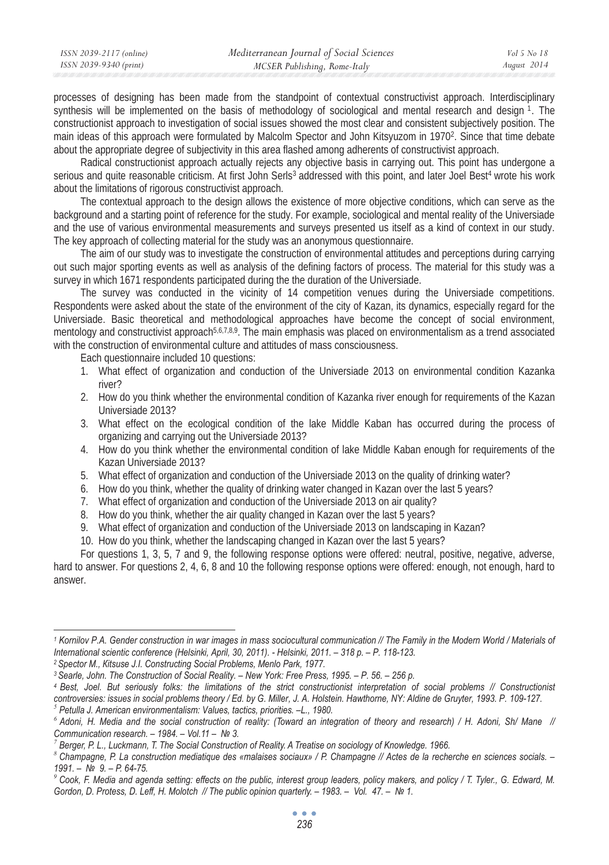| ISSN 2039-2117 (online) | Mediterranean Journal of Social Sciences | Vol 5 No 18 |
|-------------------------|------------------------------------------|-------------|
| ISSN 2039-9340 (print)  | MCSER Publishing, Rome-Italy             | August 2014 |

processes of designing has been made from the standpoint of contextual constructivist approach. Interdisciplinary synthesis will be implemented on the basis of methodology of sociological and mental research and design 1. The constructionist approach to investigation of social issues showed the most clear and consistent subjectively position. The main ideas of this approach were formulated by Malcolm Spector and John Kitsyuzom in 19702. Since that time debate about the appropriate degree of subjectivity in this area flashed among adherents of constructivist approach.

Radical constructionist approach actually rejects any objective basis in carrying out. This point has undergone a serious and quite reasonable criticism. At first John Serls<sup>3</sup> addressed with this point, and later Joel Best<sup>4</sup> wrote his work about the limitations of rigorous constructivist approach.

The contextual approach to the design allows the existence of more objective conditions, which can serve as the background and a starting point of reference for the study. For example, sociological and mental reality of the Universiade and the use of various environmental measurements and surveys presented us itself as a kind of context in our study. The key approach of collecting material for the study was an anonymous questionnaire.

The aim of our study was to investigate the construction of environmental attitudes and perceptions during carrying out such major sporting events as well as analysis of the defining factors of process. The material for this study was a survey in which 1671 respondents participated during the the duration of the Universiade.

The survey was conducted in the vicinity of 14 competition venues during the Universiade competitions. Respondents were asked about the state of the environment of the city of Kazan, its dynamics, especially regard for the Universiade. Basic theoretical and methodological approaches have become the concept of social environment, mentology and constructivist approach<sup>5,6,7,8,9</sup>. The main emphasis was placed on environmentalism as a trend associated with the construction of environmental culture and attitudes of mass consciousness.

Each questionnaire included 10 questions:

- 1. What effect of organization and conduction of the Universiade 2013 on environmental condition Kazanka river?
- 2. How do you think whether the environmental condition of Kazanka river enough for requirements of the Kazan Universiade 2013?
- 3. What effect on the ecological condition of the lake Middle Kaban has occurred during the process of organizing and carrying out the Universiade 2013?
- 4. How do you think whether the environmental condition of lake Middle Kaban enough for requirements of the Kazan Universiade 2013?
- 5. What effect of organization and conduction of the Universiade 2013 on the quality of drinking water?
- 6. How do you think, whether the quality of drinking water changed in Kazan over the last 5 years?
- 7. What effect of organization and conduction of the Universiade 2013 on air quality?
- 8. How do you think, whether the air quality changed in Kazan over the last 5 years?
- 9. What effect of organization and conduction of the Universiade 2013 on landscaping in Kazan?

10. How do you think, whether the landscaping changed in Kazan over the last 5 years?

For questions 1, 3, 5, 7 and 9, the following response options were offered: neutral, positive, negative, adverse, hard to answer. For questions 2, 4, 6, 8 and 10 the following response options were offered: enough, not enough, hard to answer.

*controversies: issues in social problems theory / Ed. by G. Miller, J. A. Holstein. Hawthorne, NY: Aldine de Gruyter, 1993. P. 109-127.* 

*5 Petulla J. American environmentalism: Values, tactics, priorities. –L., 1980.* 

*<sup>1</sup> Kornilov P.A. Gender construction in war images in mass sociocultural communication // The Family in the Modern World / Materials of*  International scientic conference (Helsinki, April, 30, 2011). - Helsinki, 2011. – 318 p. – P. 118-123.<br><sup>2</sup> Spector M., Kitsuse J.I. Constructing Social Problems, Menlo Park, 1977.<br><sup>3</sup> Searle, John. The Construction of Soc

*<sup>6</sup> Adoni, H. Media and the social construction of reality: (Toward an integration of theory and research) / H. Adoni, Sh/ Mane // Communication research. – 1984. – Vol.11 – ʋ 3.* 

*<sup>7</sup> Berger, P. L., Luckmann, T. The Social Construction of Reality. A Treatise on sociology of Knowledge. 1966.* 

*<sup>8</sup> Champagne, P. La construction mediatique des «malaises sociaux» / P. Champagne // Actes de la recherche en sciences socials. – 1991. – ʋ 9. – P. 64-75.* 

*<sup>9</sup> Cook, F. Media and agenda setting: effects on the public, interest group leaders, policy makers, and policy / T. Tyler., G. Edward, M. Gordon, D. Protess, D. Leff, H. Molotch // The public opinion quarterly. – 1983. – Vol. 47. – ʋ 1.*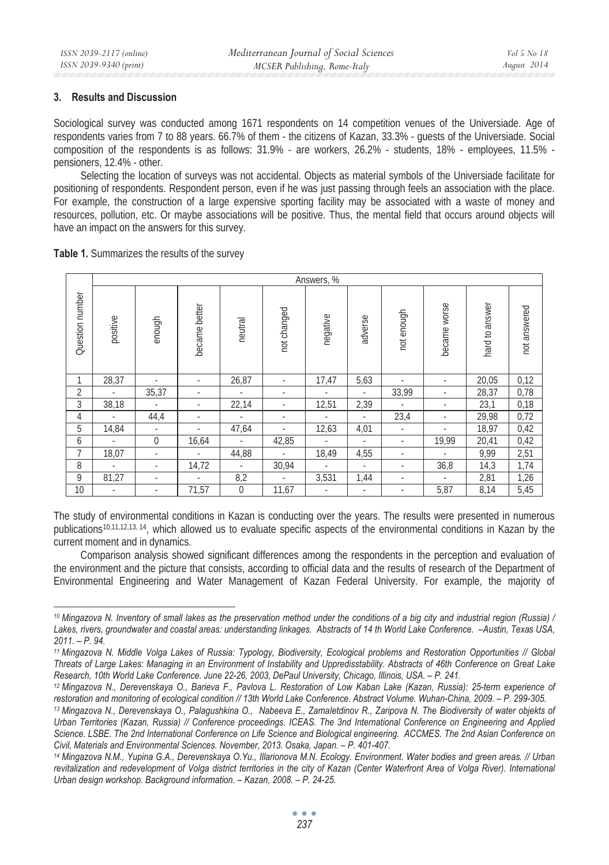### **3. Results and Discussion**

Sociological survey was conducted among 1671 respondents on 14 competition venues of the Universiade. Age of respondents varies from 7 to 88 years. 66.7% of them - the citizens of Kazan, 33.3% - guests of the Universiade. Social composition of the respondents is as follows: 31.9% - are workers, 26.2% - students, 18% - employees, 11.5% pensioners, 12.4% - other.

Selecting the location of surveys was not accidental. Objects as material symbols of the Universiade facilitate for positioning of respondents. Respondent person, even if he was just passing through feels an association with the place. For example, the construction of a large expensive sporting facility may be associated with a waste of money and resources, pollution, etc. Or maybe associations will be positive. Thus, the mental field that occurs around objects will have an impact on the answers for this survey.

**Table 1.** Summarizes the results of the survey

|                 | Answers, %               |                          |               |                          |             |          |                          |                          |              |                |              |
|-----------------|--------------------------|--------------------------|---------------|--------------------------|-------------|----------|--------------------------|--------------------------|--------------|----------------|--------------|
| Question number | positive                 | enough                   | became better | neutral                  | not changed | negative | adverse                  | not enough               | became worse | hard to answer | not answered |
| 1               | 28,37                    |                          |               | 26,87                    | ٠           | 17,47    | 5,63                     |                          |              | 20,05          | 0,12         |
| $\overline{2}$  |                          | 35,37                    |               | ٠                        | ٠           |          |                          | 33,99                    |              | 28,37          | 0,78         |
| 3               | 38,18                    | ٠                        |               | 22,14                    |             | 12,51    | 2,39                     |                          |              | 23,1           | 0,18         |
| 4               |                          | 44,4                     |               |                          | ٠           |          | ٠                        | 23,4                     |              | 29,98          | 0,72         |
| 5               | 14,84                    | $\overline{\phantom{a}}$ |               | 47,64                    |             | 12,63    | 4,01                     | $\overline{\phantom{a}}$ |              | 18,97          | 0,42         |
| 6               |                          | $\overline{0}$           | 16,64         |                          | 42,85       |          |                          |                          | 19,99        | 20,41          | 0,42         |
| 7               | 18,07                    | ٠                        | ٠             | 44,88                    | ٠           | 18,49    | 4,55                     | ٠                        |              | 9,99           | 2,51         |
| 8               | ٠                        | ٠                        | 14,72         | $\overline{\phantom{a}}$ | 30,94       |          | ٠                        | $\overline{\phantom{a}}$ | 36,8         | 14,3           | 1,74         |
| 9               | 81,27                    | ٠                        |               | 8,2                      | ٠           | 3,531    | 1,44                     | ٠                        |              | 2,81           | 1,26         |
| 10              | $\overline{\phantom{a}}$ | $\overline{\phantom{a}}$ | 71,57         | 0                        | 11,67       |          | $\overline{\phantom{a}}$ | $\overline{\phantom{a}}$ | 5,87         | 8,14           | 5,45         |

The study of environmental conditions in Kazan is conducting over the years. The results were presented in numerous publications<sup>10,11,12,13, 14</sup>, which allowed us to evaluate specific aspects of the environmental conditions in Kazan by the current moment and in dynamics.

Comparison analysis showed significant differences among the respondents in the perception and evaluation of the environment and the picture that consists, according to official data and the results of research of the Department of Environmental Engineering and Water Management of Kazan Federal University. For example, the majority of

*<sup>10</sup> Mingazova N. Inventory of small lakes as the preservation method under the conditions of a big city and industrial region (Russia) / Lakes, rivers, groundwater and coastal areas: understanding linkages. Abstracts of 14 th World Lake Conference. –Austin, Texas USA, 2011. – P. 94.* 

*<sup>11</sup> Mingazova N. Middle Volga Lakes of Russia: Typology, Biodiversity, Ecological problems and Restoration Opportunities // Global Threats of Large Lakes: Managing in an Environment of Instability and Uppredisstability. Abstracts of 46th Conference on Great Lake* 

<sup>&</sup>lt;sup>12</sup> Mingazova N., Derevenskaya O., Barieva F., Pavlova L. Restoration of Low Kaban Lake (Kazan, Russia): 25-term experience of

restoration and monitoring of ecological condition // 13th World Lake Conference. Abstract Volume. Wuhan-China, 2009. - P. 299-305.<br><sup>13</sup> Mingazova N., Derevenskaya O., Palagushkina O., Nabeeva E., Zamaletdinov R., Zaripova *Urban Territories (Kazan, Russia) // Conference proceedings. ICEAS. The 3nd International Conference on Engineering and Applied*  Science. LSBE. The 2nd International Conference on Life Science and Biological engineering. ACCMES. The 2nd Asian Conference on *Civil, Materials and Environmental Sciences. November, 2013. Osaka, Japan. – P. 401-407.* 

*<sup>14</sup> Mingazova N.M., Yupina G.A., Derevenskaya O.Yu., Illarionova M.N. Ecology. Environment. Water bodies and green areas. // Urban revitalization and redevelopment of Volga district territories in the city of Kazan (Center Waterfront Area of Volga River). International Urban design workshop. Background information. – Kazan, 2008. – P. 24-25.*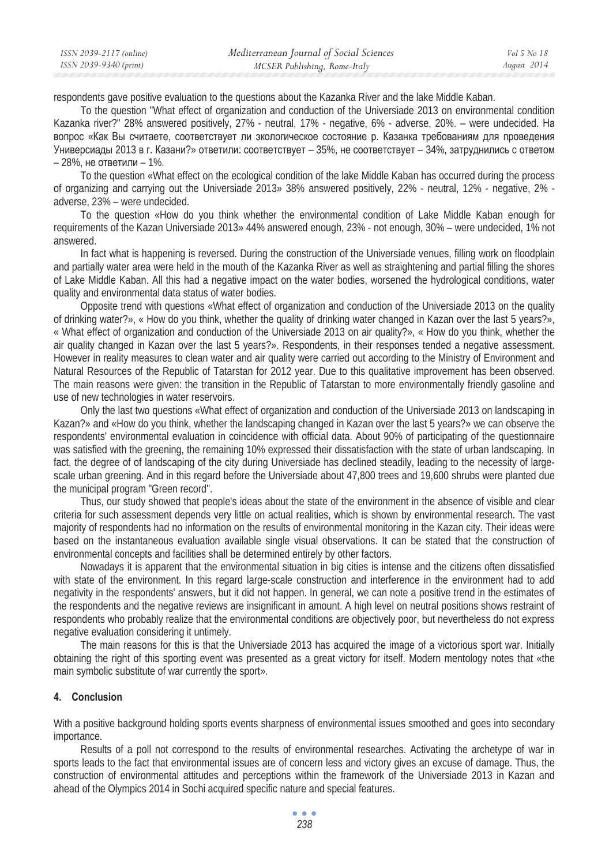| ISSN 2039-2117 (online) | Mediterranean Journal of Social Sciences | Vol 5 No 18 |
|-------------------------|------------------------------------------|-------------|
| ISSN 2039-9340 (print)  | MCSER Publishing, Rome-Italy             | August 2014 |

respondents gave positive evaluation to the questions about the Kazanka River and the lake Middle Kaban.

To the question "What effect of organization and conduction of the Universiade 2013 on environmental condition Kazanka river?" 28% answered positively, 27% - neutral, 17% - negative, 6% - adverse, 20%. – were undecided. Ha вопрос «Как Вы считаете, соответствует ли экологическое состояние р. Казанка требованиям для проведения Универсиады 2013 в г. Казани?» ответили: соответствует – 35%, не соответствует – 34%, затруднились с ответом – 28%, не ответили – 1%.

To the question «What effect on the ecological condition of the lake Middle Kaban has occurred during the process of organizing and carrying out the Universiade 2013» 38% answered positively, 22% - neutral, 12% - negative, 2% adverse, 23% – were undecided.

To the question «How do you think whether the environmental condition of Lake Middle Kaban enough for requirements of the Kazan Universiade 2013» 44% answered enough, 23% - not enough, 30% – were undecided, 1% not answered.

In fact what is happening is reversed. During the construction of the Universiade venues, filling work on floodplain and partially water area were held in the mouth of the Kazanka River as well as straightening and partial filling the shores of Lake Middle Kaban. All this had a negative impact on the water bodies, worsened the hydrological conditions, water quality and environmental data status of water bodies.

Opposite trend with questions «What effect of organization and conduction of the Universiade 2013 on the quality of drinking water?», « How do you think, whether the quality of drinking water changed in Kazan over the last 5 years?», « What effect of organization and conduction of the Universiade 2013 on air quality?», « How do you think, whether the air quality changed in Kazan over the last 5 years?». Respondents, in their responses tended a negative assessment. However in reality measures to clean water and air quality were carried out according to the Ministry of Environment and Natural Resources of the Republic of Tatarstan for 2012 year. Due to this qualitative improvement has been observed. The main reasons were given: the transition in the Republic of Tatarstan to more environmentally friendly gasoline and use of new technologies in water reservoirs.

Only the last two questions «What effect of organization and conduction of the Universiade 2013 on landscaping in Kazan?» and «How do you think, whether the landscaping changed in Kazan over the last 5 years?» we can observe the respondents' environmental evaluation in coincidence with official data. About 90% of participating of the questionnaire was satisfied with the greening, the remaining 10% expressed their dissatisfaction with the state of urban landscaping. In fact, the degree of of landscaping of the city during Universiade has declined steadily, leading to the necessity of largescale urban greening. And in this regard before the Universiade about 47,800 trees and 19,600 shrubs were planted due the municipal program "Green record".

Thus, our study showed that people's ideas about the state of the environment in the absence of visible and clear criteria for such assessment depends very little on actual realities, which is shown by environmental research. The vast majority of respondents had no information on the results of environmental monitoring in the Kazan city. Their ideas were based on the instantaneous evaluation available single visual observations. It can be stated that the construction of environmental concepts and facilities shall be determined entirely by other factors.

Nowadays it is apparent that the environmental situation in big cities is intense and the citizens often dissatisfied with state of the environment. In this regard large-scale construction and interference in the environment had to add negativity in the respondents' answers, but it did not happen. In general, we can note a positive trend in the estimates of the respondents and the negative reviews are insignificant in amount. A high level on neutral positions shows restraint of respondents who probably realize that the environmental conditions are objectively poor, but nevertheless do not express negative evaluation considering it untimely.

The main reasons for this is that the Universiade 2013 has acquired the image of a victorious sport war. Initially obtaining the right of this sporting event was presented as a great victory for itself. Modern mentology notes that «the main symbolic substitute of war currently the sport».

### **4. Conclusion**

With a positive background holding sports events sharpness of environmental issues smoothed and goes into secondary importance.

Results of a poll not correspond to the results of environmental researches. Activating the archetype of war in sports leads to the fact that environmental issues are of concern less and victory gives an excuse of damage. Thus, the construction of environmental attitudes and perceptions within the framework of the Universiade 2013 in Kazan and ahead of the Olympics 2014 in Sochi acquired specific nature and special features.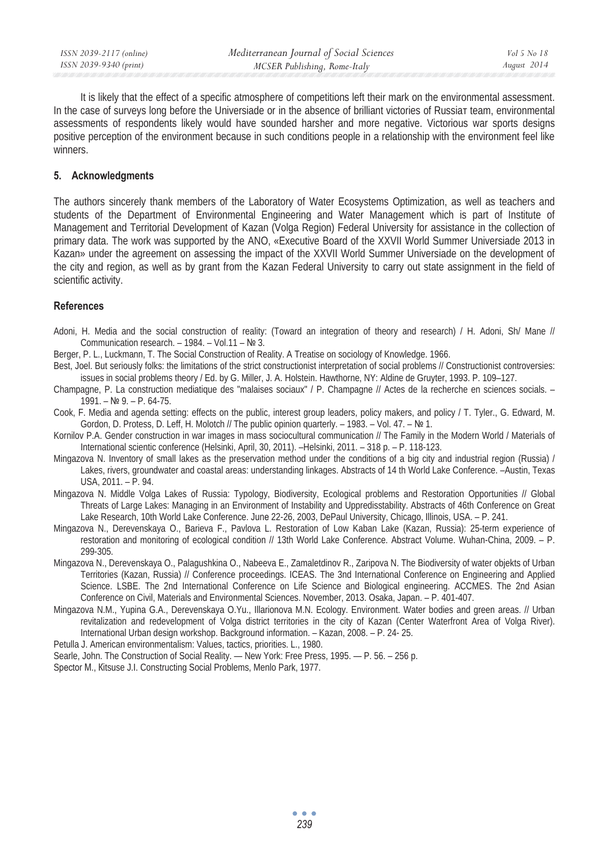It is likely that the effect of a specific atmosphere of competitions left their mark on the environmental assessment. In the case of surveys long before the Universiade or in the absence of brilliant victories of Russia $\tau$  team, environmental assessments of respondents likely would have sounded harsher and more negative. Victorious war sports designs positive perception of the environment because in such conditions people in a relationship with the environment feel like winners.

#### **5. Acknowledgments**

The authors sincerely thank members of the Laboratory of Water Ecosystems Optimization, as well as teachers and students of the Department of Environmental Engineering and Water Management which is part of Institute of Management and Territorial Development of Kazan (Volga Region) Federal University for assistance in the collection of primary data. The work was supported by the ANO, «Executive Board of the XXVII World Summer Universiade 2013 in Kazan» under the agreement on assessing the impact of the XXVII World Summer Universiade on the development of the city and region, as well as by grant from the Kazan Federal University to carry out state assignment in the field of scientific activity.

#### **References**

- Adoni, H. Media and the social construction of reality: (Toward an integration of theory and research) / H. Adoni, Sh/ Mane // Communication research. – 1984. – Vol.11 –  $N$ <sup>2</sup> 3.
- Berger, P. L., Luckmann, T. The Social Construction of Reality. A Treatise on sociology of Knowledge. 1966.
- Best, Joel. But seriously folks: the limitations of the strict constructionist interpretation of social problems // Constructionist controversies: issues in social problems theory / Ed. by G. Miller, J. A. Holstein. Hawthorne, NY: Aldine de Gruyter, 1993. P. 109–127.
- Champagne, P. La construction mediatique des "malaises sociaux" / P. Champagne // Actes de la recherche en sciences socials.  $1991. - N999. - P. 64-75.$
- Cook, F. Media and agenda setting: effects on the public, interest group leaders, policy makers, and policy / T. Tyler., G. Edward, M. Gordon, D. Protess, D. Leff, H. Molotch // The public opinion quarterly. – 1983. – Vol. 47. – No 1.
- Kornilov P.A. Gender construction in war images in mass sociocultural communication // The Family in the Modern World / Materials of International scientic conference (Helsinki, April, 30, 2011). –Helsinki, 2011. – 318 p. – P. 118-123.
- Mingazova N. Inventory of small lakes as the preservation method under the conditions of a big city and industrial region (Russia) / Lakes, rivers, groundwater and coastal areas: understanding linkages. Abstracts of 14 th World Lake Conference. –Austin, Texas USA, 2011. – P. 94.
- Mingazova N. Middle Volga Lakes of Russia: Typology, Biodiversity, Ecological problems and Restoration Opportunities // Global Threats of Large Lakes: Managing in an Environment of Instability and Uppredisstability. Abstracts of 46th Conference on Great Lake Research, 10th World Lake Conference. June 22-26, 2003, DePaul University, Chicago, Illinois, USA. - P. 241.
- Mingazova N., Derevenskaya O., Barieva F., Pavlova L. Restoration of Low Kaban Lake (Kazan, Russia): 25-term experience of restoration and monitoring of ecological condition // 13th World Lake Conference. Abstract Volume. Wuhan-China, 2009. – P. 299-305.
- Mingazova N., Derevenskaya O., Palagushkina O., Nabeeva E., Zamaletdinov R., Zaripova N. The Biodiversity of water objekts of Urban Territories (Kazan, Russia) // Conference proceedings. ICEAS. The 3nd International Conference on Engineering and Applied Science. LSBE. The 2nd International Conference on Life Science and Biological engineering. ACCMES. The 2nd Asian Conference on Civil, Materials and Environmental Sciences. November, 2013. Osaka, Japan. – P. 401-407.
- Mingazova N.M., Yupina G.A., Derevenskaya O.Yu., Illarionova M.N. Ecology. Environment. Water bodies and green areas. // Urban revitalization and redevelopment of Volga district territories in the city of Kazan (Center Waterfront Area of Volga River). International Urban design workshop. Background information. – Kazan, 2008. – P. 24- 25.

Petulla J. American environmentalism: Values, tactics, priorities. L., 1980.

Searle, John. The Construction of Social Reality. — New York: Free Press, 1995. — P. 56. – 256 p.

Spector M., Kitsuse J.I. Constructing Social Problems, Menlo Park, 1977.